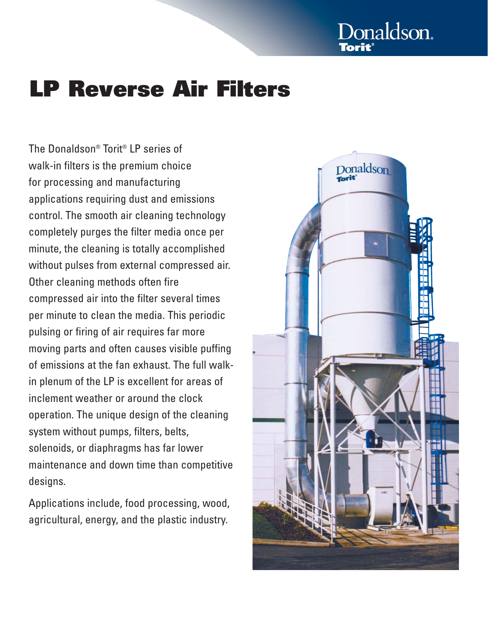# Donaldson.

## **LP Reverse Air Filters**

The Donaldson® Torit® LP series of walk-in filters is the premium choice for processing and manufacturing applications requiring dust and emissions control. The smooth air cleaning technology completely purges the filter media once per minute, the cleaning is totally accomplished without pulses from external compressed air. Other cleaning methods often fire compressed air into the filter several times per minute to clean the media. This periodic pulsing or firing of air requires far more moving parts and often causes visible puffing of emissions at the fan exhaust. The full walkin plenum of the LP is excellent for areas of inclement weather or around the clock operation. The unique design of the cleaning system without pumps, filters, belts, solenoids, or diaphragms has far lower maintenance and down time than competitive designs.

Applications include, food processing, wood, agricultural, energy, and the plastic industry.

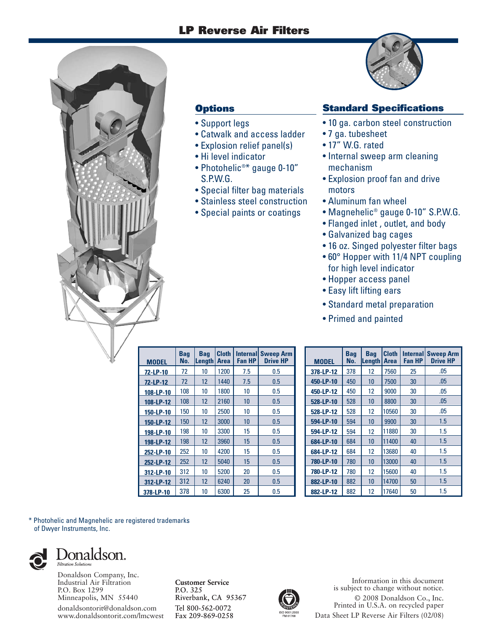#### **LP Reverse Air Filters**



#### **Options**

- Support legs
- Catwalk and access ladder
- Explosion relief panel(s)
- Hi level indicator
- Photohelic®\* gauge 0-10" S.P.W.G.
- Special filter bag materials
- Stainless steel construction
- Special paints or coatings



#### **Standard Specifications**

- 10 ga. carbon steel construction
- 7 ga. tubesheet
- 17" W.G. rated
- Internal sweep arm cleaning mechanism
- Explosion proof fan and drive motors
- Aluminum fan wheel
- Magnehelic® gauge 0-10" S.P.W.G.
- Flanged inlet , outlet, and body
- Galvanized bag cages
- 16 oz. Singed polyester filter bags
- 60° Hopper with 11/4 NPT coupling for high level indicator
- Hopper access panel
- Easy lift lifting ears
- Standard metal preparation
- Primed and painted

| <b>MODEL</b> | Baq<br>No. | <b>Bag</b><br>Length | <b>Cloth</b><br><b>Area</b> | <b>Internal</b><br><b>Fan HP</b> | <b>Sweep Arm</b><br><b>Drive HP</b> |
|--------------|------------|----------------------|-----------------------------|----------------------------------|-------------------------------------|
| 72-LP-10     | 72         | 10                   | 1200                        | 7.5                              | 0.5                                 |
| 72-LP-12     | 72         | 12                   | 1440                        | 7.5                              | 0.5                                 |
| 108-LP-10    | 108        | 10                   | 1800                        | 10                               | 0.5                                 |
| 108-LP-12    | 108        | 12                   | 2160                        | 10                               | 0.5                                 |
| 150-LP-10    | 150        | 10                   | 2500                        | 10                               | 0.5                                 |
| 150-LP-12    | 150        | 12                   | 3000                        | 10                               | 0.5                                 |
| 198-LP-10    | 198        | 10                   | 3300                        | 15                               | 0.5                                 |
| 198-LP-12    | 198        | 12                   | 3960                        | 15                               | 0.5                                 |
| 252-LP-10    | 252        | 10                   | 4200                        | 15                               | 0.5                                 |
| 252-LP-12    | 252        | 12                   | 5040                        | 15                               | 0.5                                 |
| 312-LP-10    | 312        | 10                   | 5200                        | 20                               | 0.5                                 |
| 312-LP-12    | 312        | 12                   | 6240                        | 20                               | 0.5                                 |
| 378-LP-10    | 378        | 10                   | 6300                        | 25                               | 0.5                                 |

| <b>MODEL</b> | <b>Bag</b><br>No. | <b>Bag</b><br>Length | <b>Cloth</b><br>Area | <b>Fan HP</b> | <b>Internal Sweep Arm</b><br><b>Drive HP</b> |
|--------------|-------------------|----------------------|----------------------|---------------|----------------------------------------------|
| 378-LP-12    | 378               | 12                   | 7560                 | 25            | .05                                          |
| 450-LP-10    | 450               | 10                   | 7500                 | 30            | .05                                          |
| 450-LP-12    | 450               | 12                   | 9000                 | 30            | .05                                          |
| 528-LP-10    | 528               | 10                   | 8800                 | 30            | .05                                          |
| 528-LP-12    | 528               | 12                   | 10560                | 30            | .05                                          |
| 594-LP-10    | 594               | 10                   | 9900                 | 30            | 1.5                                          |
| 594-LP-12    | 594               | 12                   | 11880                | 30            | 1.5                                          |
| 684-LP-10    | 684               | 10                   | 11400                | 40            | 1.5                                          |
| 684-LP-12    | 684               | 12                   | 13680                | 40            | 1.5                                          |
| 780-LP-10    | 780               | 10                   | 13000                | 40            | 1.5                                          |
| 780-LP-12    | 780               | 12                   | 15600                | 40            | 1.5                                          |
| 882-LP-10    | 882               | 10                   | 14700                | 50            | 1.5                                          |
| 882-LP-12    | 882               | 12                   | 17640                | 50            | 1.5                                          |

\* Photohelic and Magnehelic are registered trademarks of Dwyer Instruments, Inc.



Donaldson Company, Inc. fåÇìëíêá~ä=^áê=cáäíê~íáçå

**`ìëíçãÉê=pÉêîáÅÉ**

Information in this document